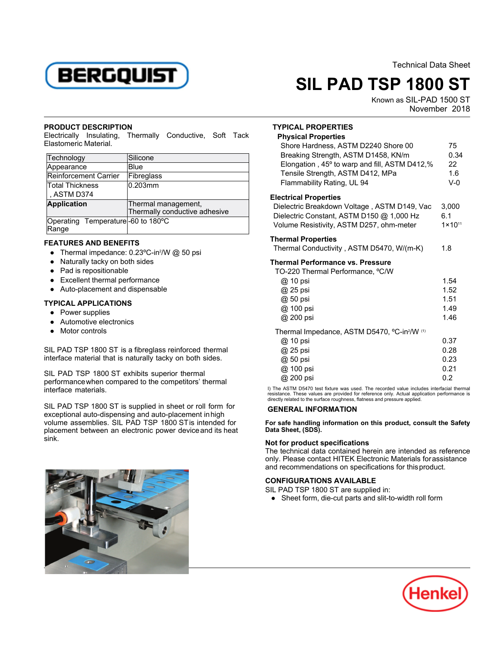

Technical Data Sheet

# **SIL PAD TSP 1800 ST**

Known as SIL-PAD 1500 ST November 2018

### **PRODUCT DESCRIPTION**

Electrically Insulating, Thermally Conductive, Soft Tack Electrically initiated

| Technology                                 | Silicone                                             |
|--------------------------------------------|------------------------------------------------------|
| Appearance                                 | Blue                                                 |
| Reinforcement Carrier                      | Fibreglass                                           |
| Total Thickness                            | 0.203mm                                              |
| , ASTM D374                                |                                                      |
| <b>Application</b>                         | Thermal management,<br>Thermally conductive adhesive |
|                                            |                                                      |
| Operating Temperature-60 to 180°C<br>Range |                                                      |

# **FEATURES AND BENEFITS**

- 11 Prime Pinton Pinton<br>■ Thermal impedance: 0.23 °C-in<sup>2</sup>/W @ 50 psi
- Naturally tacky on both sides
- $\bullet$  Pad is repositionable
- Excellent thermal performance
- Auto-placement and dispensable

# **TYPICAL APPLICATIONS**

- Power supplies
- Automotive electronics
- Motor controls

SIL PAD TSP 1800 ST is a fibreglass reinforced thermal interface material that is naturally tacky on both sides.

SIL PAD TSP 1800 ST exhibits superior thermal performancewhen compared to the competitors' thermal interface materials.

SIL PAD TSP 1800 ST is supplied in sheet or roll form for exceptional auto-dispensing and auto-placement inhigh volume assemblies. SIL PAD TSP 1800 STis intended for placement between an electronic power deviceand its heat sink. **Not for product specifications**



## **TYPICAL PROPERTIES**

| <b>Physical Properties</b>                                                                                                                                                                    |                                      |
|-----------------------------------------------------------------------------------------------------------------------------------------------------------------------------------------------|--------------------------------------|
| Shore Hardness, ASTM D2240 Shore 00<br>Breaking Strength, ASTM D1458, KN/m<br>Elongation, 45° to warp and fill, ASTM D412,%<br>Tensile Strength, ASTM D412, MPa<br>Flammability Rating, UL 94 | 75<br>0.34<br>22<br>1.6<br>$V-0$     |
| <b>Electrical Properties</b><br>Dielectric Breakdown Voltage, ASTM D149, Vac<br>Dielectric Constant, ASTM D150 @ 1,000 Hz<br>Volume Resistivity, ASTM D257, ohm-meter                         | 3,000<br>6.1<br>$1 \times 10^{11}$   |
| <b>Thermal Properties</b><br>Thermal Conductivity, ASTM D5470, W/(m-K)                                                                                                                        | 1.8                                  |
| <b>Thermal Performance vs. Pressure</b><br>TO-220 Thermal Performance, °C/W<br>@ 10 psi<br>@ 25 psi<br>@ 50 psi<br>@ 100 psi<br>@ 200 psi                                                     | 1.54<br>1.52<br>1.51<br>1.49<br>1.46 |
| Thermal Impedance, ASTM D5470, °C-in <sup>2</sup> /W (1)<br>@ 10 psi<br>@ 25 psi<br>@ 50 psi<br>@ 100 psi<br>@ 200 psi                                                                        | 0.37<br>0.28<br>0.23<br>0.21<br>0.2  |

I) The ASTM D5470 test fixture was used. The recorded value includes interfacial thermalresistance. These values are provided for reference only. Actual application performance is directly related to the surface roughness, flatness and pressure applied.

# **GENERAL INFORMATION**

**For safe handling information on this product, consult the Safety Data Sheet, (SDS).**

The technical data contained herein are intended as reference only. Please contact HITEK Electronic Materials forassistance and recommendations on specifications for thisproduct.

## **CONFIGURATIONS AVAILABLE**

SIL PAD TSP 1800 ST are supplied in:

■ ND TOF TOOO OT are supplied in:<br>● Sheet form, die-cut parts and slit-to-width roll form